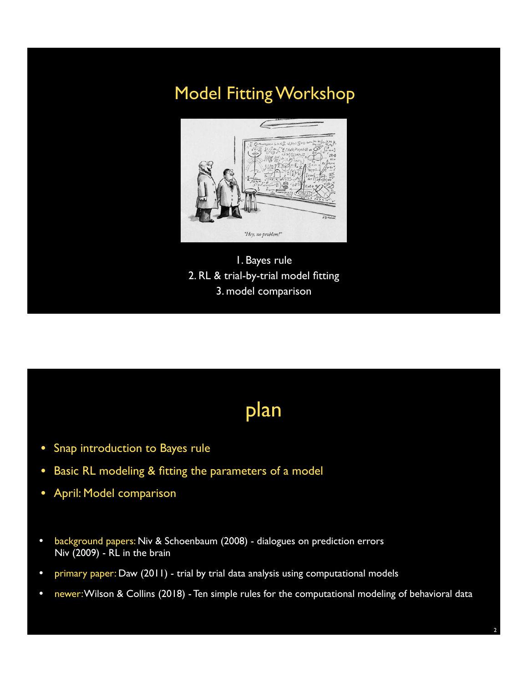### Model Fitting Workshop



1. Bayes rule 2. RL & trial-by-trial model fitting 3. model comparison

# plan

- Snap introduction to Bayes rule
- Basic RL modeling & fitting the parameters of a model
- April: Model comparison
- background papers: Niv & Schoenbaum (2008) dialogues on prediction errors Niv (2009) - RL in the brain
- primary paper: Daw (2011) trial by trial data analysis using computational models
- newer: Wilson & Collins (2018) Ten simple rules for the computational modeling of behavioral data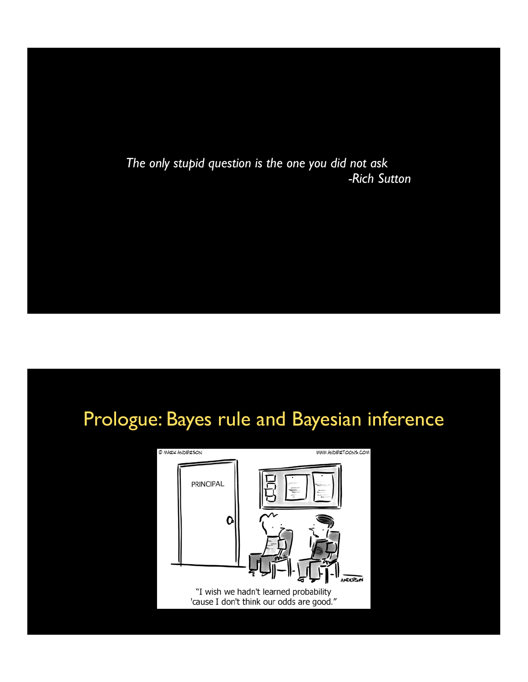*The only stupid question is the one you did not ask -Rich Sutton*

# Prologue: Bayes rule and Bayesian inference

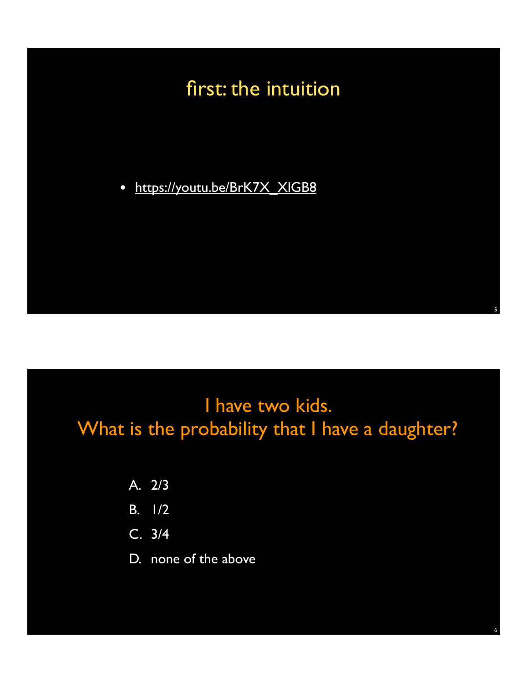# first: the intuition

• https://youtu.be/BrK7X\_XIGB8

### I have two kids. What is the probability that I have a daughter?

5

6

- A. 2/3
- B. 1/2
- C. 3/4
- D. none of the above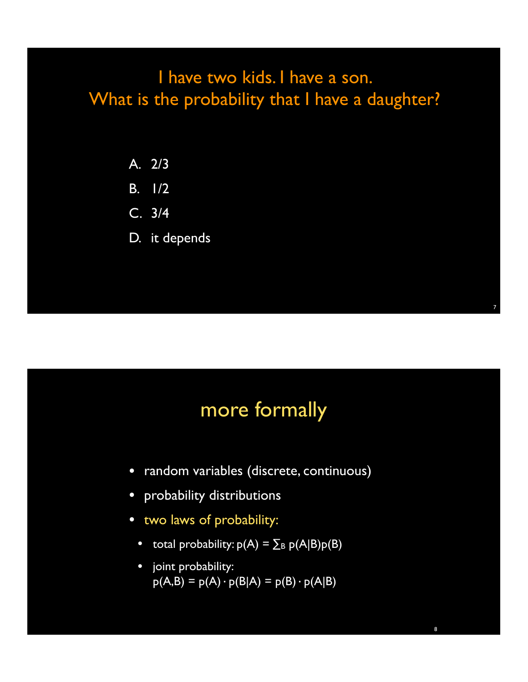### I have two kids. I have a son. What is the probability that I have a daughter?

- A. 2/3
- B. 1/2
- C. 3/4
- D. it depends

### more formally

- random variables (discrete, continuous)
- probability distributions
- two laws of probability:
	- total probability:  $p(A) = \sum_{B} p(A|B)p(B)$
	- joint probability:  $p(A,B) = p(A) \cdot p(B|A) = p(B) \cdot p(A|B)$

7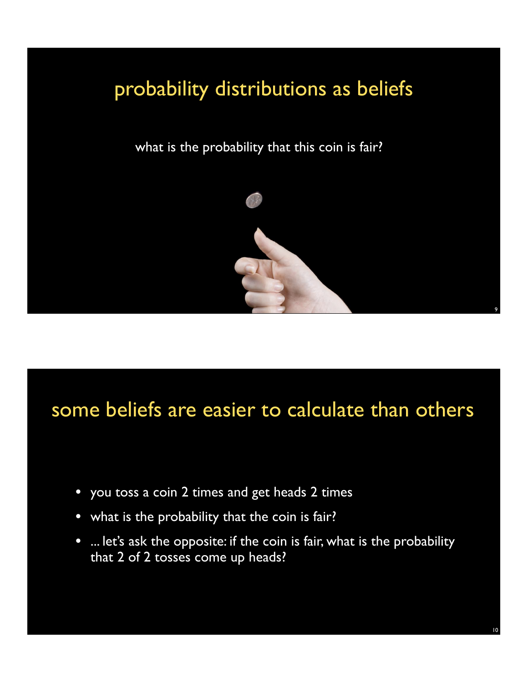# probability distributions as beliefs

what is the probability that this coin is fair?



## some beliefs are easier to calculate than others

- you toss a coin 2 times and get heads 2 times
- what is the probability that the coin is fair?
- ... let's ask the opposite: if the coin is fair, what is the probability that 2 of 2 tosses come up heads?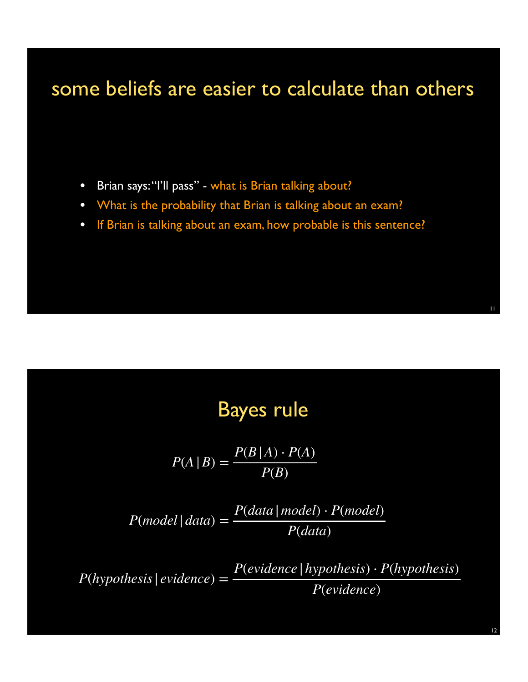### some beliefs are easier to calculate than others

- Brian says: "I'll pass" what is Brian talking about?
- What is the probability that Brian is talking about an exam?
- If Brian is talking about an exam, how probable is this sentence?

### Bayes rule

$$
P(A | B) = \frac{P(B | A) \cdot P(A)}{P(B)}
$$

 $P(model|data) = \frac{P(data|model) \cdot P(model)}{P(data|model}$ *P*(*data*)

 $P(hypothesis | evidence) = \frac{P(evidence | hypothesis) \cdot P(hypothesis)}{P(hypothesis)}$ *P*(*evidence*)

12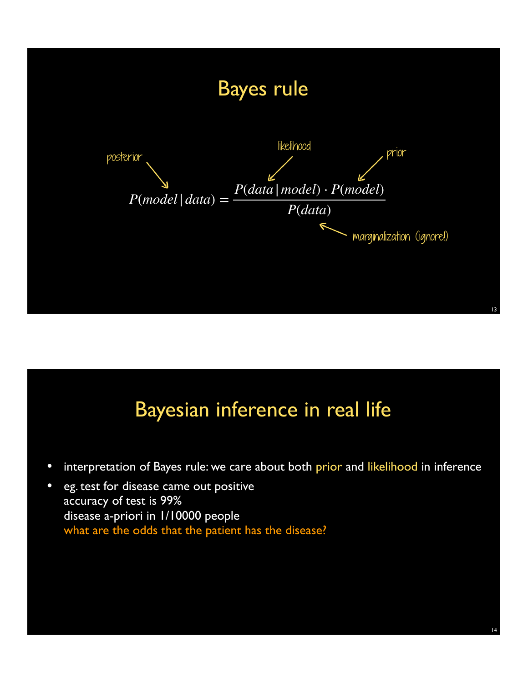

## Bayesian inference in real life

• interpretation of Bayes rule: we care about both prior and likelihood in inference

14

• eg. test for disease came out positive accuracy of test is 99% disease a-priori in 1/10000 people what are the odds that the patient has the disease?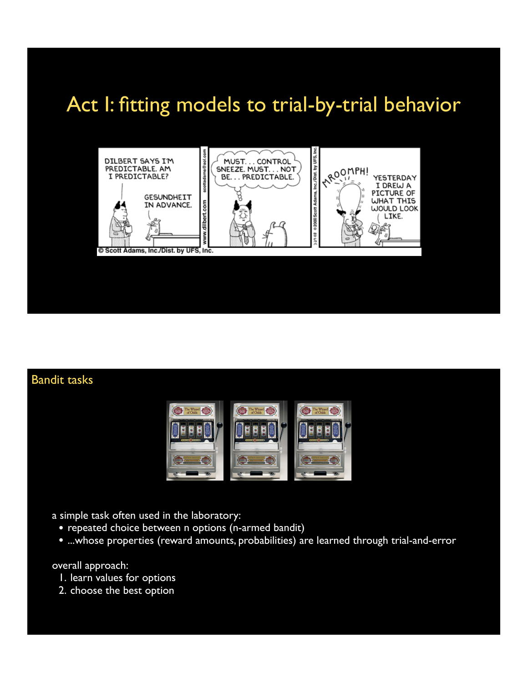## Act I: fitting models to trial-by-trial behavior



### Bandit tasks



- a simple task often used in the laboratory:
	- repeated choice between n options (n-armed bandit)
	- ...whose properties (reward amounts, probabilities) are learned through trial-and-error

#### overall approach:

- 1. learn values for options
- 2. choose the best option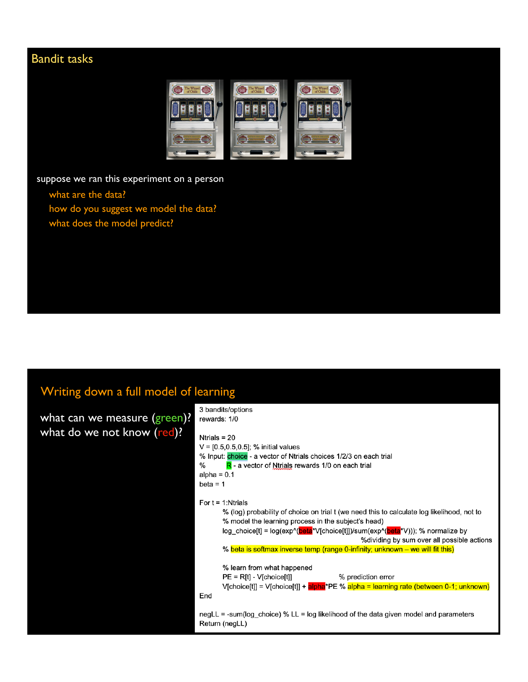### Bandit tasks



suppose we ran this experiment on a person

- what are the data?
- how do you suggest we model the data?
- what does the model predict?

### Writing down a full model of learning

| what can we measure (green)? |  |
|------------------------------|--|
| what do we not know (red)?   |  |

| 3 bandits/options<br>rewards: 1/0                                                                                                                                                                                                                                                                          |
|------------------------------------------------------------------------------------------------------------------------------------------------------------------------------------------------------------------------------------------------------------------------------------------------------------|
| Ntrials = $20$<br>$V = [0.5, 0.5, 0.5]$ ; % initial values<br>% Input: choice - a vector of Ntrials choices 1/2/3 on each trial<br>℅<br>$R$ - a vector of Ntrials rewards 1/0 on each trial<br>alpha = $0.1$<br>$beta = 1$                                                                                 |
| For $t = 1$ : Ntrials<br>% (log) probability of choice on trial t (we need this to calculate log likelihood, not to<br>% model the learning process in the subject's head)<br>log_choice[t] = log(exp^(beta*V[choice[t]])/sum(exp^(beta*V))); % normalize by<br>%dividing by sum over all possible actions |
| % beta is softmax inverse temp (range 0-infinity; unknown – we will fit this)<br>% learn from what happened<br>$PE = R[t] - V[choice[t]]$<br>% prediction error<br>$V[choice[t]] = V[choice[t]] + alpha*PE % alpha = learning rate (between 0-1; unknown)$<br>End                                          |
| negLL = -sum(log choice) % LL = log likelihood of the data given model and parameters<br>Return (negLL)                                                                                                                                                                                                    |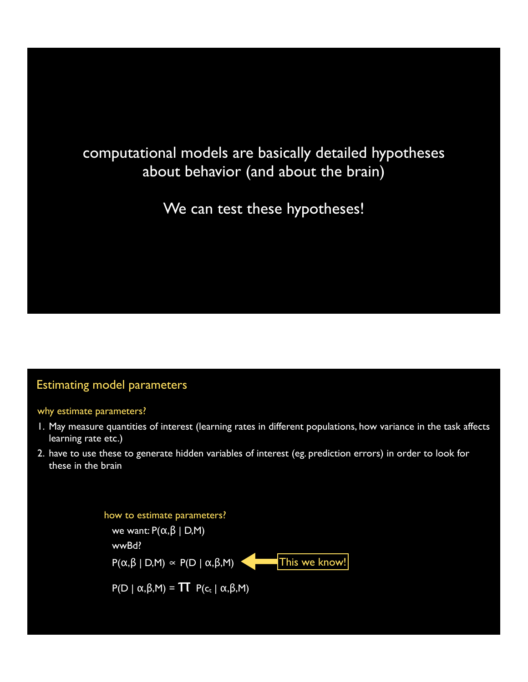### computational models are basically detailed hypotheses about behavior (and about the brain)

We can test these hypotheses!

#### Estimating model parameters

#### why estimate parameters?

- 1. May measure quantities of interest (learning rates in different populations, how variance in the task affects learning rate etc.)
- 2. have to use these to generate hidden variables of interest (eg. prediction errors) in order to look for these in the brain

how to estimate parameters? we want:  $P(α, β | D, M)$ wwBd?  $P(\alpha, \beta | D, M) \propto P(D | \alpha, \beta, M)$ **This we know!** 

 $P(D | \alpha, \beta, M) = \prod P(c_t | \alpha, \beta, M)$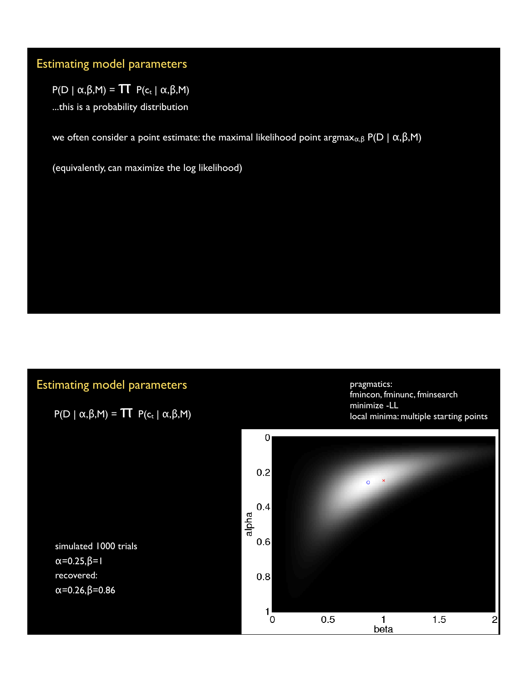### Estimating model parameters

 $P(D \mid \alpha, \beta, M) = \prod P(c_t \mid \alpha, \beta, M)$ 

...this is a probability distribution

we often consider a point estimate: the maximal likelihood point argmax<sub>α,β</sub> P(D | α,β,M)

(equivalently, can maximize the log likelihood)

### Estimating model parameters

 $P(D | α, β, M) = T T P(c_t | α, β, M)$ 

pragmatics: fmincon, fminunc, fminsearch minimize -LL local minima: multiple starting points



simulated 1000 trials α=0.25,β=1 recovered: α=0.26,β=0.86